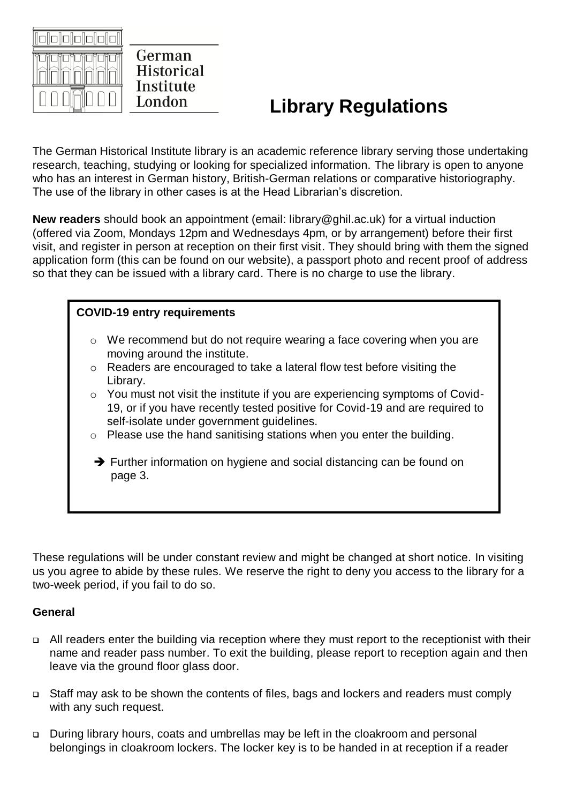

German **Historical** Institute London

# **Library Regulations**

The German Historical Institute library is an academic reference library serving those undertaking research, teaching, studying or looking for specialized information. The library is open to anyone who has an interest in German history, British-German relations or comparative historiography. The use of the library in other cases is at the Head Librarian's discretion.

**New readers** should book an appointment (email: library@ghil.ac.uk) for a virtual induction (offered via Zoom, Mondays 12pm and Wednesdays 4pm, or by arrangement) before their first visit, and register in person at reception on their first visit. They should bring with them the signed application form (this can be found on our website), a passport photo and recent proof of address so that they can be issued with a library card. There is no charge to use the library.

## **COVID-19 entry requirements**

- o We recommend but do not require wearing a face covering when you are moving around the institute.
- o Readers are encouraged to take a lateral flow test before visiting the Library.
- o You must not visit the institute if you are experiencing symptoms of Covid-19, or if you have recently tested positive for Covid-19 and are required to self-isolate under government guidelines.
- o Please use the hand sanitising stations when you enter the building.
- ➔ Further information on hygiene and social distancing can be found on page 3.

These regulations will be under constant review and might be changed at short notice. In visiting us you agree to abide by these rules. We reserve the right to deny you access to the library for a two-week period, if you fail to do so.

#### **General**

- ❑ All readers enter the building via reception where they must report to the receptionist with their name and reader pass number. To exit the building, please report to reception again and then leave via the ground floor glass door.
- ❑ Staff may ask to be shown the contents of files, bags and lockers and readers must comply with any such request.
- ❑ During library hours, coats and umbrellas may be left in the cloakroom and personal belongings in cloakroom lockers. The locker key is to be handed in at reception if a reader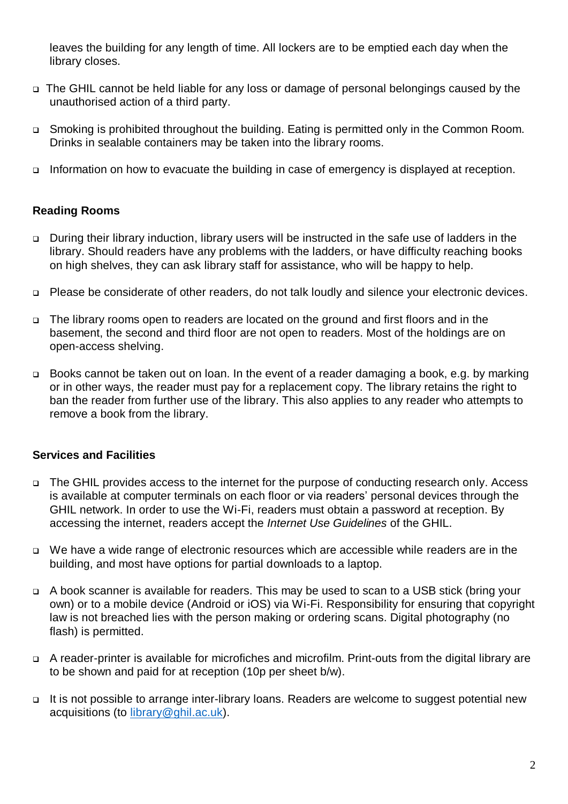leaves the building for any length of time. All lockers are to be emptied each day when the library closes.

- ❑ The GHIL cannot be held liable for any loss or damage of personal belongings caused by the unauthorised action of a third party.
- ❑ Smoking is prohibited throughout the building. Eating is permitted only in the Common Room. Drinks in sealable containers may be taken into the library rooms.
- ❑ Information on how to evacuate the building in case of emergency is displayed at reception.

#### **Reading Rooms**

- ❑ During their library induction, library users will be instructed in the safe use of ladders in the library. Should readers have any problems with the ladders, or have difficulty reaching books on high shelves, they can ask library staff for assistance, who will be happy to help.
- ❑ Please be considerate of other readers, do not talk loudly and silence your electronic devices.
- ❑ The library rooms open to readers are located on the ground and first floors and in the basement, the second and third floor are not open to readers. Most of the holdings are on open-access shelving.
- ❑ Books cannot be taken out on loan. In the event of a reader damaging a book, e.g. by marking or in other ways, the reader must pay for a replacement copy. The library retains the right to ban the reader from further use of the library. This also applies to any reader who attempts to remove a book from the library.

#### **Services and Facilities**

- ❑ The GHIL provides access to the internet for the purpose of conducting research only. Access is available at computer terminals on each floor or via readers' personal devices through the GHIL network. In order to use the Wi-Fi, readers must obtain a password at reception. By accessing the internet, readers accept the *Internet Use Guidelines* of the GHIL.
- ❑ We have a wide range of electronic resources which are accessible while readers are in the building, and most have options for partial downloads to a laptop.
- ❑ A book scanner is available for readers. This may be used to scan to a USB stick (bring your own) or to a mobile device (Android or iOS) via Wi-Fi. Responsibility for ensuring that copyright law is not breached lies with the person making or ordering scans. Digital photography (no flash) is permitted.
- ❑ A reader-printer is available for microfiches and microfilm. Print-outs from the digital library are to be shown and paid for at reception (10p per sheet b/w).
- ❑ It is not possible to arrange inter-library loans. Readers are welcome to suggest potential new acquisitions (to [library@ghil.ac.uk\)](mailto:library@ghil.ac.uk).